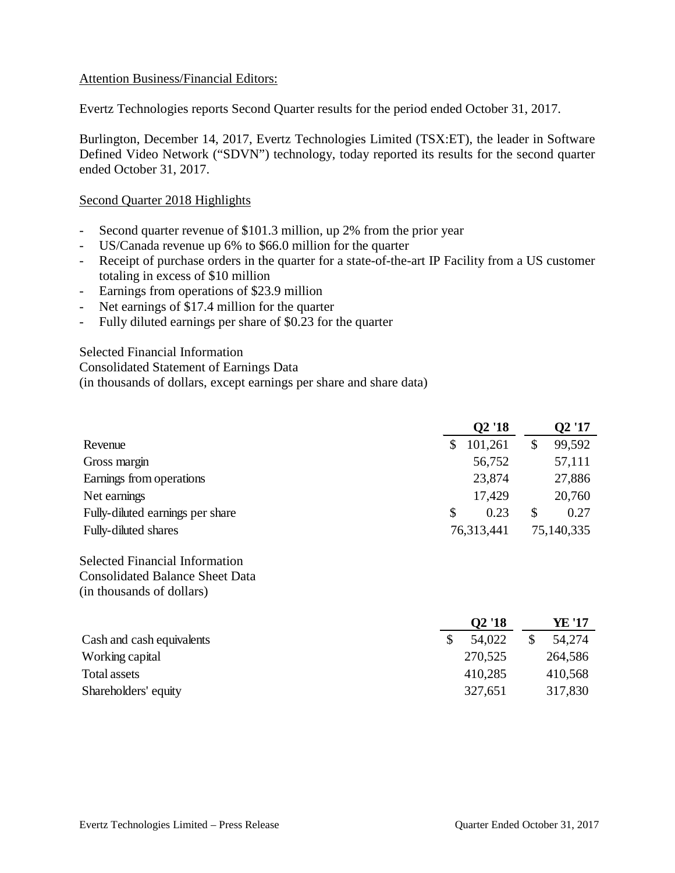## Attention Business/Financial Editors:

Evertz Technologies reports Second Quarter results for the period ended October 31, 2017.

Burlington, December 14, 2017, Evertz Technologies Limited (TSX:ET), the leader in Software Defined Video Network ("SDVN") technology, today reported its results for the second quarter ended October 31, 2017.

#### Second Quarter 2018 Highlights

- Second quarter revenue of \$101.3 million, up 2% from the prior year
- US/Canada revenue up 6% to \$66.0 million for the quarter
- Receipt of purchase orders in the quarter for a state-of-the-art IP Facility from a US customer totaling in excess of \$10 million
- Earnings from operations of \$23.9 million
- Net earnings of \$17.4 million for the quarter
- Fully diluted earnings per share of \$0.23 for the quarter

Selected Financial Information

Consolidated Statement of Earnings Data

(in thousands of dollars, except earnings per share and share data)

|                                  | Q2'18         | Q2'17        |
|----------------------------------|---------------|--------------|
| Revenue                          | 101,261<br>\$ | 99,592<br>\$ |
| Gross margin                     | 56,752        | 57,111       |
| Earnings from operations         | 23,874        | 27,886       |
| Net earnings                     | 17,429        | 20,760       |
| Fully-diluted earnings per share | 0.23<br>S     | 0.27<br>S    |
| Fully-diluted shares             | 76,313,441    | 75,140,335   |

Selected Financial Information Consolidated Balance Sheet Data (in thousands of dollars)

|                           | Q <sub>2</sub> '18 | YE '17  |
|---------------------------|--------------------|---------|
| Cash and cash equivalents | 54,022             | 54,274  |
| Working capital           | 270,525            | 264,586 |
| Total assets              | 410,285            | 410,568 |
| Shareholders' equity      | 327,651            | 317,830 |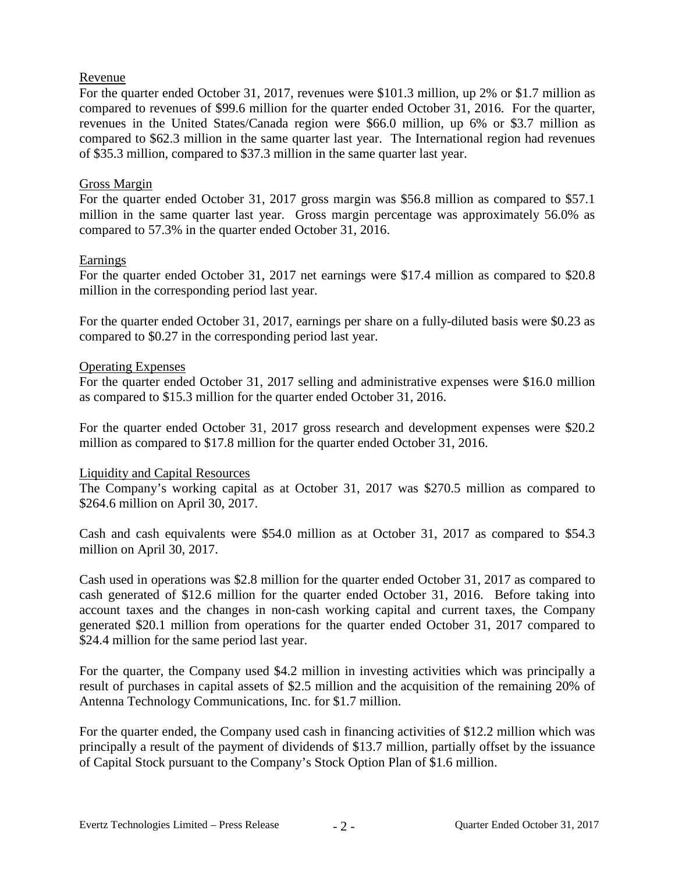## Revenue

For the quarter ended October 31, 2017, revenues were \$101.3 million, up 2% or \$1.7 million as compared to revenues of \$99.6 million for the quarter ended October 31, 2016. For the quarter, revenues in the United States/Canada region were \$66.0 million, up 6% or \$3.7 million as compared to \$62.3 million in the same quarter last year. The International region had revenues of \$35.3 million, compared to \$37.3 million in the same quarter last year.

### Gross Margin

For the quarter ended October 31, 2017 gross margin was \$56.8 million as compared to \$57.1 million in the same quarter last year. Gross margin percentage was approximately 56.0% as compared to 57.3% in the quarter ended October 31, 2016.

## Earnings

For the quarter ended October 31, 2017 net earnings were \$17.4 million as compared to \$20.8 million in the corresponding period last year.

For the quarter ended October 31, 2017, earnings per share on a fully-diluted basis were \$0.23 as compared to \$0.27 in the corresponding period last year.

## Operating Expenses

For the quarter ended October 31, 2017 selling and administrative expenses were \$16.0 million as compared to \$15.3 million for the quarter ended October 31, 2016.

For the quarter ended October 31, 2017 gross research and development expenses were \$20.2 million as compared to \$17.8 million for the quarter ended October 31, 2016.

#### Liquidity and Capital Resources

The Company's working capital as at October 31, 2017 was \$270.5 million as compared to \$264.6 million on April 30, 2017.

Cash and cash equivalents were \$54.0 million as at October 31, 2017 as compared to \$54.3 million on April 30, 2017.

Cash used in operations was \$2.8 million for the quarter ended October 31, 2017 as compared to cash generated of \$12.6 million for the quarter ended October 31, 2016. Before taking into account taxes and the changes in non-cash working capital and current taxes, the Company generated \$20.1 million from operations for the quarter ended October 31, 2017 compared to \$24.4 million for the same period last year.

For the quarter, the Company used \$4.2 million in investing activities which was principally a result of purchases in capital assets of \$2.5 million and the acquisition of the remaining 20% of Antenna Technology Communications, Inc. for \$1.7 million.

For the quarter ended, the Company used cash in financing activities of \$12.2 million which was principally a result of the payment of dividends of \$13.7 million, partially offset by the issuance of Capital Stock pursuant to the Company's Stock Option Plan of \$1.6 million.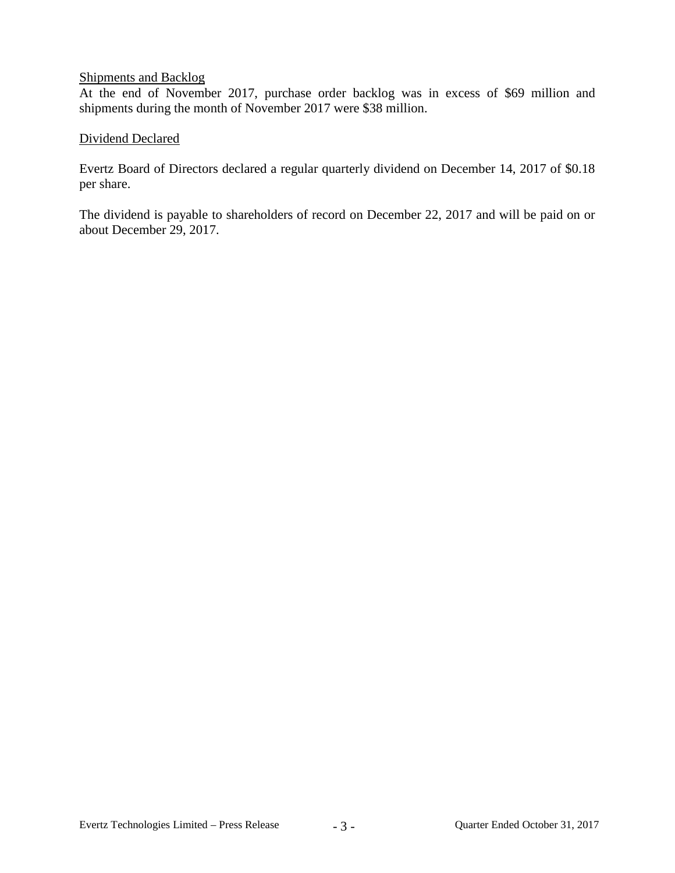### Shipments and Backlog

At the end of November 2017, purchase order backlog was in excess of \$69 million and shipments during the month of November 2017 were \$38 million.

# Dividend Declared

Evertz Board of Directors declared a regular quarterly dividend on December 14, 2017 of \$0.18 per share.

The dividend is payable to shareholders of record on December 22, 2017 and will be paid on or about December 29, 2017.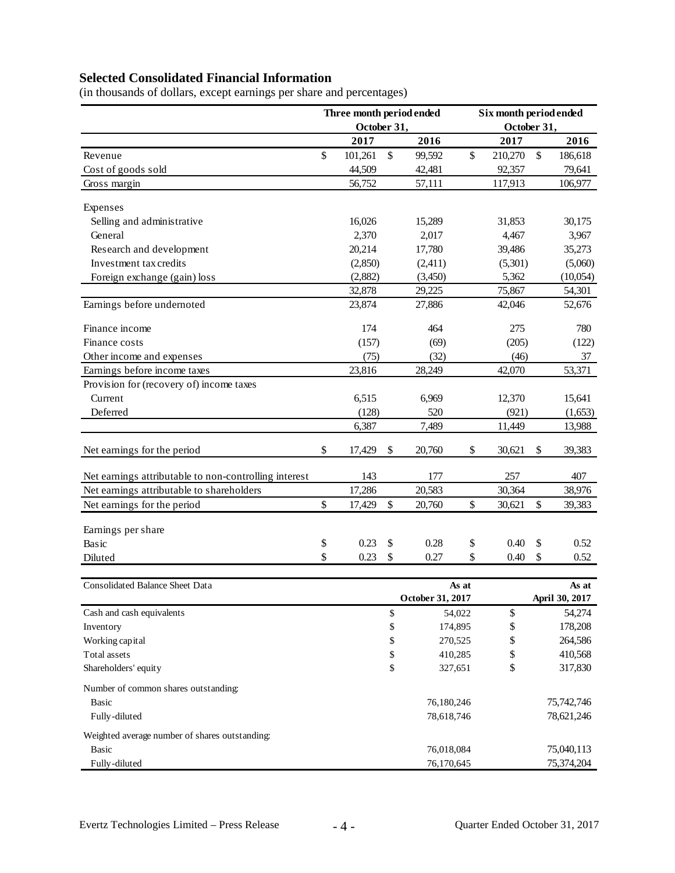# **Selected Consolidated Financial Information**

|                                                       | Three month period ended<br>October 31, |         | Six month period ended<br>October 31, |    |         |    |          |
|-------------------------------------------------------|-----------------------------------------|---------|---------------------------------------|----|---------|----|----------|
|                                                       |                                         | 2017    | 2016                                  |    | 2017    |    | 2016     |
| Revenue                                               | $\mathsf{\$}$                           | 101,261 | \$<br>99,592                          | \$ | 210,270 | \$ | 186,618  |
| Cost of goods sold                                    |                                         | 44,509  | 42,481                                |    | 92,357  |    | 79,641   |
| Gross margin                                          |                                         | 56,752  | 57,111                                |    | 117,913 |    | 106,977  |
| Expenses                                              |                                         |         |                                       |    |         |    |          |
| Selling and administrative                            |                                         | 16,026  | 15,289                                |    | 31,853  |    | 30,175   |
| General                                               |                                         | 2,370   | 2,017                                 |    | 4,467   |    | 3,967    |
| Research and development                              |                                         | 20,214  | 17,780                                |    | 39,486  |    | 35,273   |
| Investment tax credits                                |                                         | (2,850) | (2,411)                               |    | (5,301) |    | (5,060)  |
| Foreign exchange (gain) loss                          |                                         | (2,882) | (3,450)                               |    | 5,362   |    | (10,054) |
|                                                       |                                         | 32,878  | 29,225                                |    | 75,867  |    | 54,301   |
| Earnings before undernoted                            |                                         | 23,874  | 27,886                                |    | 42,046  |    | 52,676   |
| Finance income                                        |                                         | 174     | 464                                   |    | 275     |    | 780      |
| Finance costs                                         |                                         | (157)   | (69)                                  |    | (205)   |    | (122)    |
| Other income and expenses                             |                                         | (75)    | (32)                                  |    | (46)    |    | 37       |
| Earnings before income taxes                          |                                         | 23,816  | 28,249                                |    | 42,070  |    | 53,371   |
| Provision for (recovery of) income taxes              |                                         |         |                                       |    |         |    |          |
| Current                                               |                                         | 6,515   | 6,969                                 |    | 12,370  |    | 15,641   |
| Deferred                                              |                                         | (128)   | 520                                   |    | (921)   |    | (1,653)  |
|                                                       |                                         | 6,387   | 7,489                                 |    | 11,449  |    | 13,988   |
| Net earnings for the period                           | \$                                      | 17,429  | \$<br>20,760                          | \$ | 30,621  | \$ | 39,383   |
| Net earnings attributable to non-controlling interest |                                         | 143     | 177                                   |    | 257     |    | 407      |
| Net earnings attributable to shareholders             |                                         | 17,286  | 20,583                                |    | 30,364  |    | 38,976   |
| Net earnings for the period                           | \$                                      | 17,429  | \$<br>20,760                          | \$ | 30,621  | \$ | 39,383   |
| Earnings per share                                    |                                         |         |                                       |    |         |    |          |
| Basic                                                 | \$                                      | 0.23    | \$<br>0.28                            | \$ | 0.40    | \$ | 0.52     |
| Diluted                                               | \$                                      | 0.23    | \$<br>0.27                            | \$ | 0.40    | \$ | 0.52     |

(in thousands of dollars, except earnings per share and percentages)

| <b>Consolidated Balance Sheet Data</b>         | As at |                  |    | As at          |  |  |
|------------------------------------------------|-------|------------------|----|----------------|--|--|
|                                                |       | October 31, 2017 |    | April 30, 2017 |  |  |
| Cash and cash equivalents                      | \$    | 54,022           | \$ | 54,274         |  |  |
| Inventory                                      | \$    | 174,895          | \$ | 178,208        |  |  |
| Working capital                                | \$    | 270,525          | \$ | 264,586        |  |  |
| Total assets                                   | \$    | 410,285          | \$ | 410,568        |  |  |
| Shareholders' equity                           | \$    | 327,651          | \$ | 317,830        |  |  |
| Number of common shares outstanding:           |       |                  |    |                |  |  |
| Basic                                          |       | 76,180,246       |    |                |  |  |
| Fully-diluted                                  |       | 78,618,746       |    | 78,621,246     |  |  |
| Weighted average number of shares outstanding: |       |                  |    |                |  |  |
| Basic                                          |       | 76,018,084       |    | 75,040,113     |  |  |
| Fully-diluted                                  |       | 76,170,645       |    | 75,374,204     |  |  |